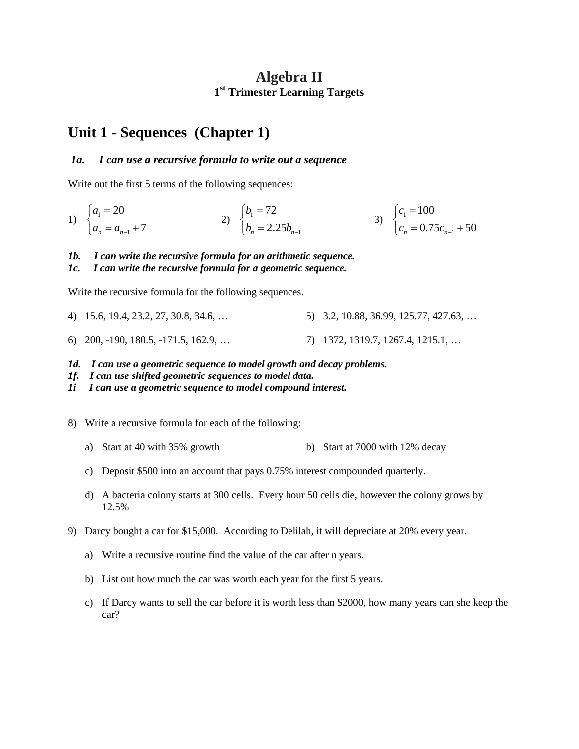### **Algebra II 1st Trimester Learning Targets**

## **Unit 1 - Sequences (Chapter 1)**

#### *1a. I can use a recursive formula to write out a sequence*

Write out the first 5 terms of the following sequences:

1) 
$$
\begin{cases} a_1 = 20 \\ a_n = a_{n-1} + 7 \end{cases}
$$
2) 
$$
\begin{cases} b_1 = 72 \\ b_n = 2.25b_{n-1} \end{cases}
$$
3) 
$$
\begin{cases} c_1 = 100 \\ c_n = 0.75c_{n-1} + 50 \end{cases}
$$

#### *1b. I can write the recursive formula for an arithmetic sequence.*

#### *1c. I can write the recursive formula for a geometric sequence.*

Write the recursive formula for the following sequences.

- 4) 15.6, 19.4, 23.2, 27, 30.8, 34.6, … 5) 3.2, 10.88, 36.99, 125.77, 427.63, …
- 6) 200, -190, 180.5, -171.5, 162.9, … 7) 1372, 1319.7, 1267.4, 1215.1, …
- *1d. I can use a geometric sequence to model growth and decay problems.*
- *1f. I can use shifted geometric sequences to model data.*

*1i I can use a geometric sequence to model compound interest.*

- 8) Write a recursive formula for each of the following:
	- a) Start at 40 with 35% growth b) Start at 7000 with 12% decay
	- c) Deposit \$500 into an account that pays 0.75% interest compounded quarterly.
	- d) A bacteria colony starts at 300 cells. Every hour 50 cells die, however the colony grows by 12.5%
- 9) Darcy bought a car for \$15,000. According to Delilah, it will depreciate at 20% every year.
	- a) Write a recursive routine find the value of the car after n years.
	- b) List out how much the car was worth each year for the first 5 years.
	- c) If Darcy wants to sell the car before it is worth less than \$2000, how many years can she keep the car?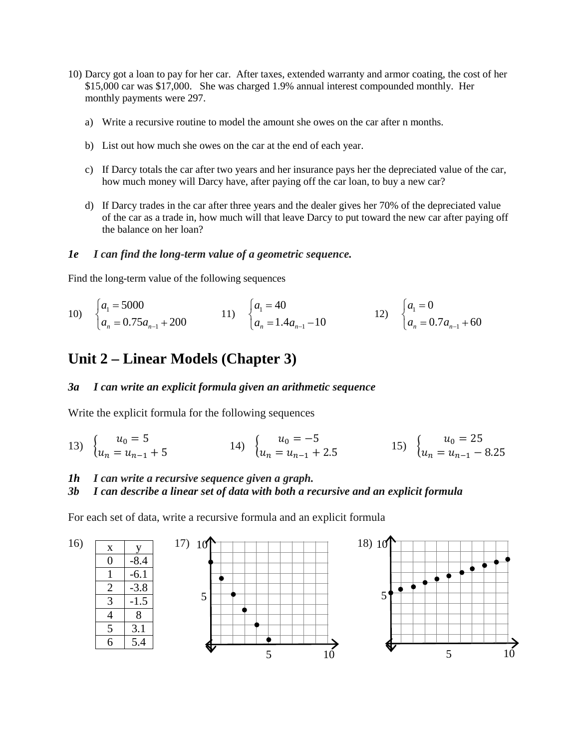- 10) Darcy got a loan to pay for her car. After taxes, extended warranty and armor coating, the cost of her \$15,000 car was \$17,000. She was charged 1.9% annual interest compounded monthly. Her monthly payments were 297.
	- a) Write a recursive routine to model the amount she owes on the car after n months.
	- b) List out how much she owes on the car at the end of each year.
	- c) If Darcy totals the car after two years and her insurance pays her the depreciated value of the car, how much money will Darcy have, after paying off the car loan, to buy a new car?
	- d) If Darcy trades in the car after three years and the dealer gives her 70% of the depreciated value of the car as a trade in, how much will that leave Darcy to put toward the new car after paying off the balance on her loan?

#### *1e I can find the long-term value of a geometric sequence.*

Find the long-term value of the following sequences

10) 
$$
\begin{cases} a_1 = 5000 \\ a_n = 0.75a_{n-1} + 200 \end{cases}
$$
 11) 
$$
\begin{cases} a_1 = 40 \\ a_n = 1.4a_{n-1} - 10 \end{cases}
$$
 12) 
$$
\begin{cases} a_1 = 0 \\ a_n = 0.7a_{n-1} + 60 \end{cases}
$$

# **Unit 2 – Linear Models (Chapter 3)**

#### *3a I can write an explicit formula given an arithmetic sequence*

Write the explicit formula for the following sequences

13)  $\begin{cases} u_0 = 5 \\ u_n = u_{n-1} + 5 \end{cases}$  14)  $\begin{cases} u_0 = -5 \\ u_n = u_{n-1} + 2.5 \end{cases}$  15)  $\begin{cases} u_0 = 25 \\ u_n = u_{n-1} - 5 \end{cases}$ 15)  $\begin{cases}\nu_0 = 25\\u_n = u_{n-1} - 8.25\end{cases}$ 

#### *1h I can write a recursive sequence given a graph.*

#### *3b I can describe a linear set of data with both a recursive and an explicit formula*

For each set of data, write a recursive formula and an explicit formula

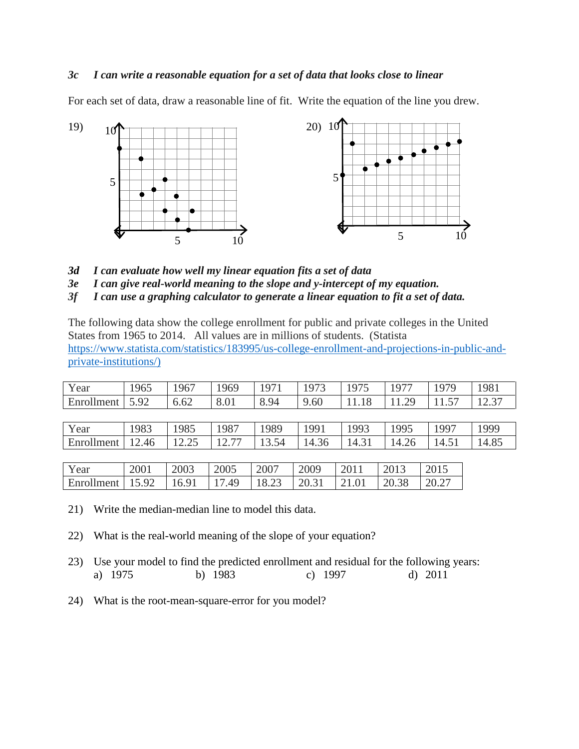#### *3c I can write a reasonable equation for a set of data that looks close to linear*

For each set of data, draw a reasonable line of fit. Write the equation of the line you drew.



- *3d I can evaluate how well my linear equation fits a set of data*
- *3e I can give real-world meaning to the slope and y-intercept of my equation.*

*3f I can use a graphing calculator to generate a linear equation to fit a set of data.*

The following data show the college enrollment for public and private colleges in the United States from 1965 to 2014. All values are in millions of students. (Statista [https://www.statista.com/statistics/183995/us-college-enrollment-and-projections-in-public-and](https://www.statista.com/statistics/183995/us-college-enrollment-and-projections-in-public-and-private-institutions/))[private-institutions/\)](https://www.statista.com/statistics/183995/us-college-enrollment-and-projections-in-public-and-private-institutions/))

| Year       | 1965  | 1967  | 1969  | 1971  | 1973  | 1975  | 1977  | 1979  | 1981  |
|------------|-------|-------|-------|-------|-------|-------|-------|-------|-------|
| Enrollment | 5.92  | 6.62  | 8.01  | 8.94  | 9.60  | 11.18 | 11.29 | 1.57  | 12.37 |
|            |       |       |       |       |       |       |       |       |       |
| Year       | 1983  | 1985  | 1987  | 1989  | 1991  | 1993  | 1995  | 1997  | 1999  |
| Enrollment | 12.46 | 12.25 | 12.77 | 13.54 | 14.36 | 14.31 | 14.26 | 14.51 | 14.85 |
|            |       |       |       |       |       |       |       |       |       |

| Year                                                               | 2001 | 2003 | 2005 | 2007 | 2009 | 2011 | 2013 | 2015  |
|--------------------------------------------------------------------|------|------|------|------|------|------|------|-------|
| Enrollment   15.92   16.91   17.49   18.23   20.31   21.01   20.38 |      |      |      |      |      |      |      | 20.27 |

- 21) Write the median-median line to model this data.
- 22) What is the real-world meaning of the slope of your equation?
- 23) Use your model to find the predicted enrollment and residual for the following years: a) 1975 b) 1983 c) 1997 d) 2011
- 24) What is the root-mean-square-error for you model?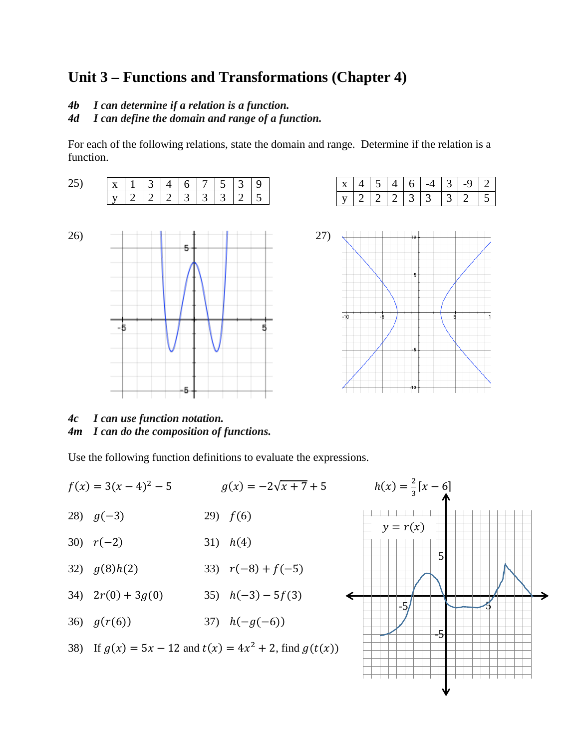# **Unit 3 – Functions and Transformations (Chapter 4)**

- *4b I can determine if a relation is a function.*
- *4d I can define the domain and range of a function.*

For each of the following relations, state the domain and range. Determine if the relation is a function.







*4c I can use function notation. 4m I can do the composition of functions.*

Use the following function definitions to evaluate the expressions.

5 5 -5 -5  $f(x) = 3(x-4)^2 - 5$   $g(x) = -2\sqrt{x+7} + 5$  $h(x) = \frac{2}{3} [x - 6]$ 28)  $g(-3)$  29)  $f(6)$ 30)  $r(-2)$  31)  $h(4)$ 32)  $g(8)h(2)$  33)  $r(-8) + f(-5)$ 34)  $2r(0) + 3g(0)$  35)  $h(-3) - 5f(3)$ 36)  $g(r(6))$  37)  $h(-g(-6))$ 38) If  $g(x) = 5x - 12$  and  $t(x) = 4x^2 + 2$ , find  $g(t(x))$  $y = r(x)$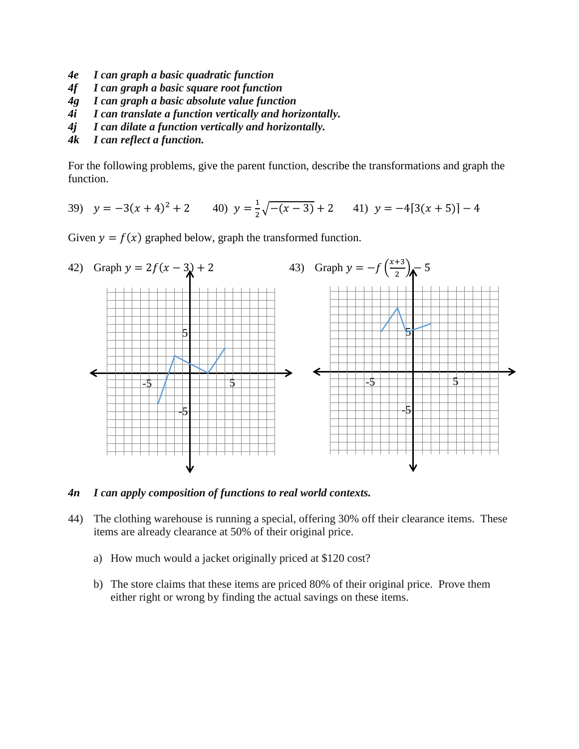- *4e I can graph a basic quadratic function*
- *4f I can graph a basic square root function*
- *4g I can graph a basic absolute value function*
- *4i I can translate a function vertically and horizontally.*
- *4j I can dilate a function vertically and horizontally.*
- *4k I can reflect a function.*

For the following problems, give the parent function, describe the transformations and graph the function.

39) 
$$
y = -3(x+4)^2 + 2
$$
 40)  $y = \frac{1}{2}\sqrt{-(x-3)} + 2$  41)  $y = -4[3(x+5)] - 4$ 

Given  $y = f(x)$  graphed below, graph the transformed function.



*4n I can apply composition of functions to real world contexts.*

- 44) The clothing warehouse is running a special, offering 30% off their clearance items. These items are already clearance at 50% of their original price.
	- a) How much would a jacket originally priced at \$120 cost?
	- b) The store claims that these items are priced 80% of their original price. Prove them either right or wrong by finding the actual savings on these items.